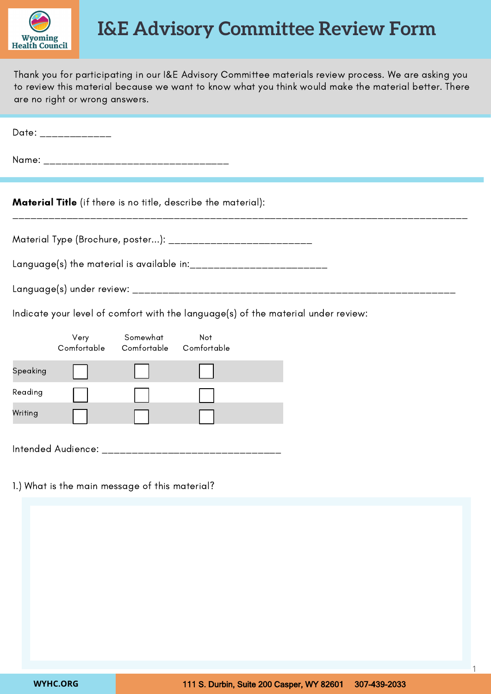

## **I&E Advisory Committee Review Form**

Thank you for participating in our I&E Advisory Committee materials review process. We are asking you to review this material because we want to know what you think would make the material better. There are no right or wrong answers.

| Date: _____________                                                  |  |  |  |  |
|----------------------------------------------------------------------|--|--|--|--|
|                                                                      |  |  |  |  |
| <b>Material Title</b> (if there is no title, describe the material): |  |  |  |  |
| Material Type (Brochure, poster): ____________________________       |  |  |  |  |
|                                                                      |  |  |  |  |
|                                                                      |  |  |  |  |

Indicate your level of comfort with the language(s) of the material under review:

|          | Very<br>Comfortable | Somewhat<br>Comfortable | Not<br>Comfortable |  |
|----------|---------------------|-------------------------|--------------------|--|
| Speaking |                     |                         |                    |  |
| Reading  |                     |                         |                    |  |
| Writing  |                     |                         |                    |  |
|          | Intended Audience:  |                         |                    |  |

1.) What is the main message of this material?